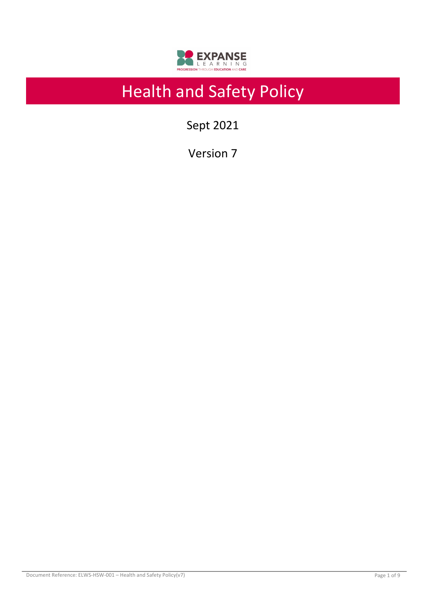

# Health and Safety Policy

Sept 2021

Version 7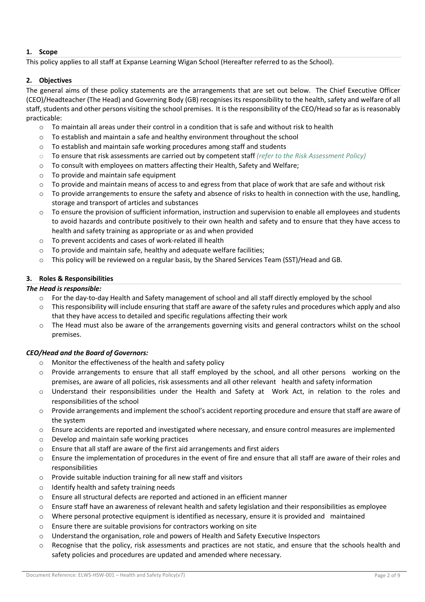# **1. Scope**

This policy applies to all staff at Expanse Learning Wigan School (Hereafter referred to as the School).

# **2. Objectives**

The general aims of these policy statements are the arrangements that are set out below. The Chief Executive Officer (CEO)/Headteacher (The Head) and Governing Body (GB) recognises its responsibility to the health, safety and welfare of all staff, students and other persons visiting the school premises. It is the responsibility of the CEO/Head so far as is reasonably practicable:

- $\circ$  To maintain all areas under their control in a condition that is safe and without risk to health
- $\circ$  To establish and maintain a safe and healthy environment throughout the school
- $\circ$  To establish and maintain safe working procedures among staff and students
- o To ensure that risk assessments are carried out by competent staff *(refer to the Risk Assessment Policy)*
- o To consult with employees on matters affecting their Health, Safety and Welfare;
- $\circ$  To provide and maintain safe equipment
- $\circ$  To provide and maintain means of access to and egress from that place of work that are safe and without risk
- o To provide arrangements to ensure the safety and absence of risks to health in connection with the use, handling, storage and transport of articles and substances
- $\circ$  To ensure the provision of sufficient information, instruction and supervision to enable all employees and students to avoid hazards and contribute positively to their own health and safety and to ensure that they have access to health and safety training as appropriate or as and when provided
- o To prevent accidents and cases of work-related ill health
- o To provide and maintain safe, healthy and adequate welfare facilities;
- $\circ$  This policy will be reviewed on a regular basis, by the Shared Services Team (SST)/Head and GB.

# **3. Roles & Responsibilities**

#### *The Head is responsible:*

- o For the day-to-day Health and Safety management of school and all staff directly employed by the school
- $\circ$  This responsibility will include ensuring that staff are aware of the safety rules and procedures which apply and also that they have access to detailed and specific regulations affecting their work
- o The Head must also be aware of the arrangements governing visits and general contractors whilst on the school premises.

# *CEO/Head and the Board of Governors:*

- Monitor the effectiveness of the health and safety policy
- $\circ$  Provide arrangements to ensure that all staff employed by the school, and all other persons working on the premises, are aware of all policies, risk assessments and all other relevant health and safety information
- o Understand their responsibilities under the Health and Safety at Work Act, in relation to the roles and responsibilities of the school
- o Provide arrangements and implement the school's accident reporting procedure and ensure that staff are aware of the system
- o Ensure accidents are reported and investigated where necessary, and ensure control measures are implemented
- o Develop and maintain safe working practices
- o Ensure that all staff are aware of the first aid arrangements and first aiders
- $\circ$  Ensure the implementation of procedures in the event of fire and ensure that all staff are aware of their roles and responsibilities
- o Provide suitable induction training for all new staff and visitors
- o Identify health and safety training needs
- o Ensure all structural defects are reported and actioned in an efficient manner
- $\circ$  Ensure staff have an awareness of relevant health and safety legislation and their responsibilities as employee
- $\circ$  Where personal protective equipment is identified as necessary, ensure it is provided and maintained
- o Ensure there are suitable provisions for contractors working on site
- $\circ$  Understand the organisation, role and powers of Health and Safety Executive Inspectors
- $\circ$  Recognise that the policy, risk assessments and practices are not static, and ensure that the schools health and safety policies and procedures are updated and amended where necessary.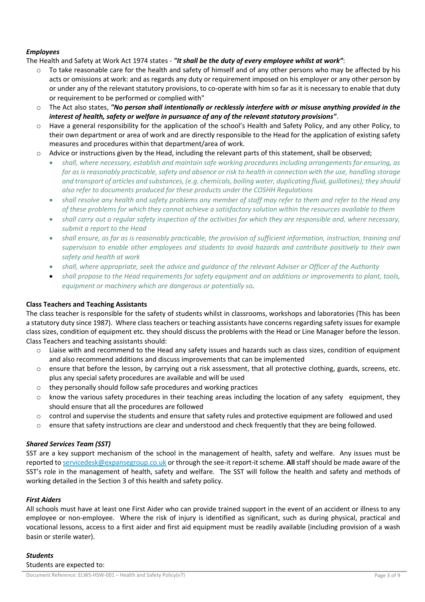#### *Employees*

The Health and Safety at Work Act 1974 states - *"It shall be the duty of every employee whilst at work"*:

- o To take reasonable care for the health and safety of himself and of any other persons who may be affected by his acts or omissions at work: and as regards any duty or requirement imposed on his employer or any other person by or under any of the relevant statutory provisions, to co-operate with him so far as it is necessary to enable that duty or requirement to be performed or complied with"
- o The Act also states, *"No person shall intentionally or recklessly interfere with or misuse anything provided in the interest of health, safety or welfare in pursuance of any of the relevant statutory provisions"*.
- o Have a general responsibility for the application of the school's Health and Safety Policy, and any other Policy, to their own department or area of work and are directly responsible to the Head for the application of existing safety measures and procedures within that department/area of work.
- $\circ$  Advice or instructions given by the Head, including the relevant parts of this statement, shall be observed;
	- *shall, where necessary, establish and maintain safe working procedures including arrangements for ensuring, as far as is reasonably practicable, safety and absence or risk to health in connection with the use, handling storage and transport of articles and substances, (e.g. chemicals, boiling water, duplicating fluid, guillotines); they should also refer to documents produced for these products under the COSHH Regulations*
	- *shall resolve any health and safety problems any member of staff may refer to them and refer to the Head any of these problems for which they cannot achieve a satisfactory solution within the resources available to them*
	- *shall carry out a regular safety inspection of the activities for which they are responsible and, where necessary, submit a report to the Head*
	- *shall ensure, as far as is reasonably practicable, the provision of sufficient information, instruction, training and supervision to enable other employees and students to avoid hazards and contribute positively to their own safety and health at work*
	- *shall, where appropriate, seek the advice and guidance of the relevant Adviser or Officer of the Authority*
	- *shall propose to the Head requirements for safety equipment and on additions or improvements to plant, tools, equipment or machinery which are dangerous or potentially so.*

#### **Class Teachers and Teaching Assistants**

The class teacher is responsible for the safety of students whilst in classrooms, workshops and laboratories (This has been a statutory duty since 1987). Where class teachers or teaching assistants have concerns regarding safety issues for example class sizes, condition of equipment etc. they should discuss the problems with the Head or Line Manager before the lesson. Class Teachers and teaching assistants should:

- $\circ$  Liaise with and recommend to the Head any safety issues and hazards such as class sizes, condition of equipment and also recommend additions and discuss improvements that can be implemented
- $\circ$  ensure that before the lesson, by carrying out a risk assessment, that all protective clothing, guards, screens, etc. plus any special safety procedures are available and will be used
- o they personally should follow safe procedures and working practices
- $\circ$  know the various safety procedures in their teaching areas including the location of any safety equipment, they should ensure that all the procedures are followed
- $\circ$  control and supervise the students and ensure that safety rules and protective equipment are followed and used
- o ensure that safety instructions are clear and understood and check frequently that they are being followed.

#### *Shared Services Team (SST)*

SST are a key support mechanism of the school in the management of health, safety and welfare. Any issues must be reported to servicedesk@expansegroup.co.uk or through the see-it report-it scheme. **All** staff should be made aware of the SST's role in the management of health, safety and welfare. The SST will follow the health and safety and methods of working detailed in the Section 3 of this health and safety policy.

#### *First Aiders*

All schools must have at least one First Aider who can provide trained support in the event of an accident or illness to any employee or non-employee. Where the risk of injury is identified as significant, such as during physical, practical and vocational lessons, access to a first aider and first aid equipment must be readily available (including provision of a wash basin or sterile water).

#### *Students*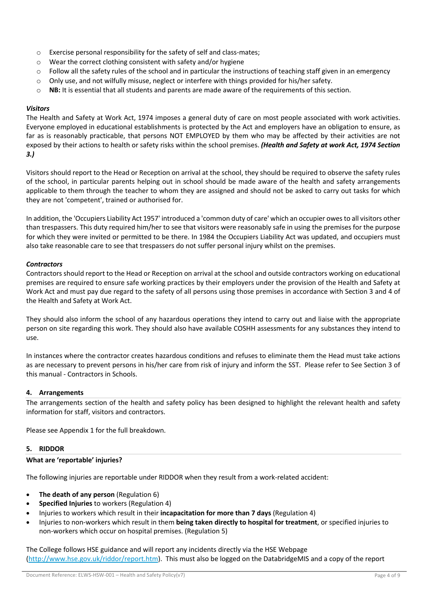- o Exercise personal responsibility for the safety of self and class-mates;
- o Wear the correct clothing consistent with safety and/or hygiene
- $\circ$  Follow all the safety rules of the school and in particular the instructions of teaching staff given in an emergency
- $\circ$  Only use, and not wilfully misuse, neglect or interfere with things provided for his/her safety.
- o **NB:** It is essential that all students and parents are made aware of the requirements of this section.

#### *Visitors*

The Health and Safety at Work Act, 1974 imposes a general duty of care on most people associated with work activities. Everyone employed in educational establishments is protected by the Act and employers have an obligation to ensure, as far as is reasonably practicable, that persons NOT EMPLOYED by them who may be affected by their activities are not exposed by their actions to health or safety risks within the school premises. *(Health and Safety at work Act, 1974 Section 3.)* 

Visitors should report to the Head or Reception on arrival at the school, they should be required to observe the safety rules of the school, in particular parents helping out in school should be made aware of the health and safety arrangements applicable to them through the teacher to whom they are assigned and should not be asked to carry out tasks for which they are not 'competent', trained or authorised for.

In addition, the 'Occupiers Liability Act 1957' introduced a 'common duty of care' which an occupier owes to all visitors other than trespassers. This duty required him/her to see that visitors were reasonably safe in using the premises for the purpose for which they were invited or permitted to be there. In 1984 the Occupiers Liability Act was updated, and occupiers must also take reasonable care to see that trespassers do not suffer personal injury whilst on the premises.

#### *Contractors*

Contractors should report to the Head or Reception on arrival at the school and outside contractors working on educational premises are required to ensure safe working practices by their employers under the provision of the Health and Safety at Work Act and must pay due regard to the safety of all persons using those premises in accordance with Section 3 and 4 of the Health and Safety at Work Act.

They should also inform the school of any hazardous operations they intend to carry out and liaise with the appropriate person on site regarding this work. They should also have available COSHH assessments for any substances they intend to use.

In instances where the contractor creates hazardous conditions and refuses to eliminate them the Head must take actions as are necessary to prevent persons in his/her care from risk of injury and inform the SST. Please refer to See Section 3 of this manual - Contractors in Schools.

#### **4. Arrangements**

The arrangements section of the health and safety policy has been designed to highlight the relevant health and safety information for staff, visitors and contractors.

Please see Appendix 1 for the full breakdown.

#### **5. RIDDOR**

#### **What are 'reportable' injuries?**

The following injuries are reportable under RIDDOR when they result from a work-related accident:

- **The death of any person** (Regulation 6)
- **Specified Injuries** to workers (Regulation 4)
- Injuries to workers which result in their **incapacitation for more than 7 days** (Regulation 4)
- Injuries to non-workers which result in them **being taken directly to hospital for treatment**, or specified injuries to non-workers which occur on hospital premises. (Regulation 5)

The College follows HSE guidance and will report any incidents directly via the HSE Webpage (http://www.hse.gov.uk/riddor/report.htm). This must also be logged on the DatabridgeMIS and a copy of the report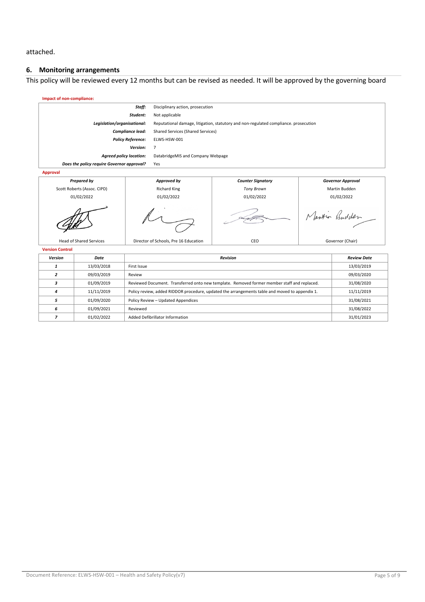attached.

# **6. Monitoring arrangements**

This policy will be reviewed every 12 months but can be revised as needed. It will be approved by the governing board

| Impact of non-compliance:                  |            |                                                                                                              |                                       |                          |                    |                          |
|--------------------------------------------|------------|--------------------------------------------------------------------------------------------------------------|---------------------------------------|--------------------------|--------------------|--------------------------|
| Staff:                                     |            | Disciplinary action, prosecution                                                                             |                                       |                          |                    |                          |
| Student:                                   |            | Not applicable                                                                                               |                                       |                          |                    |                          |
| Legislation/organisational:                |            | Reputational damage, litigation, statutory and non-regulated compliance. prosecution                         |                                       |                          |                    |                          |
| Compliance lead:                           |            | Shared Services (Shared Services)                                                                            |                                       |                          |                    |                          |
| <b>Policy Reference:</b>                   |            | ELWS-HSW-001                                                                                                 |                                       |                          |                    |                          |
| Version:                                   |            | $\overline{7}$                                                                                               |                                       |                          |                    |                          |
| <b>Agreed policy location:</b>             |            | DatabridgeMIS and Company Webpage                                                                            |                                       |                          |                    |                          |
| Does the policy require Governor approval? |            | Yes                                                                                                          |                                       |                          |                    |                          |
| <b>Approval</b>                            |            |                                                                                                              |                                       |                          |                    |                          |
| <b>Prepared by</b>                         |            |                                                                                                              | Approved by                           | <b>Counter Signatory</b> |                    | <b>Governor Approval</b> |
| Scott Roberts (Assoc. CIPD)                |            |                                                                                                              | <b>Richard King</b>                   | <b>Tony Brown</b>        |                    | Martin Budden            |
| 01/02/2022                                 |            |                                                                                                              | 01/02/2022                            | 01/02/2022               |                    | 01/02/2022               |
|                                            |            |                                                                                                              |                                       |                          |                    | Martin Budden            |
| <b>Head of Shared Services</b>             |            |                                                                                                              | Director of Schools, Pre 16 Education | CEO                      |                    | Governor (Chair)         |
| <b>Version Control</b>                     |            |                                                                                                              |                                       |                          |                    |                          |
| Version                                    | Date       | <b>Revision</b>                                                                                              |                                       |                          | <b>Review Date</b> |                          |
| $\mathbf{1}$                               | 13/03/2018 | First Issue<br>13/03/2019                                                                                    |                                       |                          |                    |                          |
| $\overline{z}$                             | 09/03/2019 | 09/03/2020<br>Review                                                                                         |                                       |                          |                    |                          |
| 3                                          | 01/09/2019 | Reviewed Document. Transferred onto new template. Removed former member staff and replaced.<br>31/08/2020    |                                       |                          |                    |                          |
| 4                                          | 11/11/2019 | Policy review, added RIDDOR procedure, updated the arrangements table and moved to appendix 1.<br>11/11/2019 |                                       |                          |                    |                          |
| 5                                          | 01/09/2020 | 31/08/2021<br>Policy Review - Updated Appendices                                                             |                                       |                          |                    |                          |

*6* 01/09/2021 Reviewed 31/08/2022 *7* 01/02/2022 Added Defibrillator Information 31/01/2023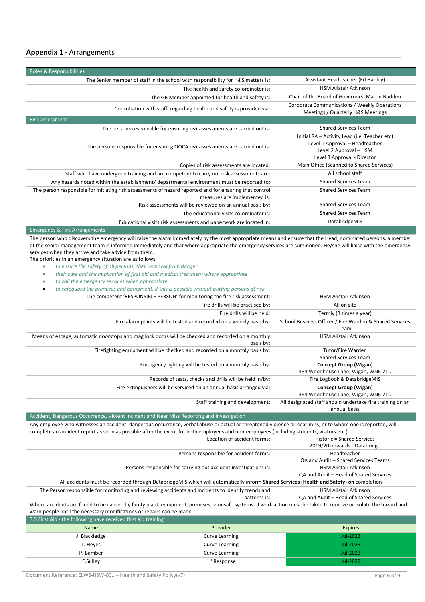| <b>Roles &amp; Responsibilities</b>                                                                                                                                                                                                                                                                                        |                                                                                                                                          |  |  |
|----------------------------------------------------------------------------------------------------------------------------------------------------------------------------------------------------------------------------------------------------------------------------------------------------------------------------|------------------------------------------------------------------------------------------------------------------------------------------|--|--|
| The Senior member of staff in the school with responsibility for H&S matters is:                                                                                                                                                                                                                                           | Assistant Headteacher (Ed Hanley)                                                                                                        |  |  |
| The health and safety co-ordinator is:                                                                                                                                                                                                                                                                                     | <b>HSM Alistair Atkinson</b>                                                                                                             |  |  |
| The GB Member appointed for health and safety is:                                                                                                                                                                                                                                                                          | Chair of the Board of Governors: Martin Budden                                                                                           |  |  |
| Consultation with staff, regarding health and safety is provided via:                                                                                                                                                                                                                                                      | Corporate Communications / Weekly Operations<br>Meetings / Quarterly H&S Meetings                                                        |  |  |
| <b>Risk assessment</b>                                                                                                                                                                                                                                                                                                     |                                                                                                                                          |  |  |
| The persons responsible for ensuring risk assessments are carried out is:                                                                                                                                                                                                                                                  | <b>Shared Services Team</b>                                                                                                              |  |  |
| The persons responsible for ensuring OOCA risk assessments are carried out is:                                                                                                                                                                                                                                             | Initial RA - Activity Lead (i.e. Teacher etc)<br>Level 1 Approval - Headteacher<br>Level 2 Approval - HSM<br>Level 3 Approval - Director |  |  |
| Copies of risk assessments are located:                                                                                                                                                                                                                                                                                    | Main Office (Scanned to Shared Services)                                                                                                 |  |  |
| Staff who have undergone training and are competent to carry out risk assessments are:                                                                                                                                                                                                                                     | All school staff                                                                                                                         |  |  |
| Any hazards noted within the establishment/ departmental environment must be reported to:                                                                                                                                                                                                                                  | <b>Shared Services Team</b>                                                                                                              |  |  |
| The person responsible for initiating risk assessments of hazard reported and for ensuring that control<br>measures are implemented is:                                                                                                                                                                                    | <b>Shared Services Team</b>                                                                                                              |  |  |
| Risk assessments will be reviewed on an annual basis by:                                                                                                                                                                                                                                                                   | <b>Shared Services Team</b>                                                                                                              |  |  |
| The educational visits co-ordinator is:                                                                                                                                                                                                                                                                                    | <b>Shared Services Team</b>                                                                                                              |  |  |
| Educational visits risk assessments and paperwork are located in:                                                                                                                                                                                                                                                          | DatabridgeMIS                                                                                                                            |  |  |
| <b>Emergency &amp; Fire Arrangements</b>                                                                                                                                                                                                                                                                                   |                                                                                                                                          |  |  |
| The person who discovers the emergency will raise the alarm immediately by the most appropriate means and ensure that the Head, nominated persons, a member<br>of the senior management team is informed immediately and that where appropriate the emergency services are summoned. He/she will liaise with the emergency |                                                                                                                                          |  |  |

services when they arrive and take advice from them.

- The priorities in an emergency situation are as follows:
	- *to ensure the safety of all persons, their removal from danger*
	- *their care and the application of first aid and medical treatment where appropriate*
	- *to call the emergency services when appropriate*
	-

| to safequard the premises and equipment, if this is possible without putting persons at risk                                                                                                                                                                                                           |                                                                        |                                                                        |  |  |  |
|--------------------------------------------------------------------------------------------------------------------------------------------------------------------------------------------------------------------------------------------------------------------------------------------------------|------------------------------------------------------------------------|------------------------------------------------------------------------|--|--|--|
| The competent 'RESPONSIBLE PERSON' for monitoring the fire risk assessment:                                                                                                                                                                                                                            | <b>HSM Alistair Atkinson</b>                                           |                                                                        |  |  |  |
|                                                                                                                                                                                                                                                                                                        | All on site                                                            |                                                                        |  |  |  |
|                                                                                                                                                                                                                                                                                                        | Termly (3 times a year)                                                |                                                                        |  |  |  |
| Fire alarm points will be tested and recorded on a weekly basis by:                                                                                                                                                                                                                                    | School Business Officer / Fire Warden & Shared Services<br>Team        |                                                                        |  |  |  |
| Means of escape, automatic doorstops and mag lock doors will be checked and recorded on a monthly                                                                                                                                                                                                      | <b>HSM Alistair Atkinson</b>                                           |                                                                        |  |  |  |
| Firefighting equipment will be checked and recorded on a monthly basis by:                                                                                                                                                                                                                             | Tutor/Fire Warden<br><b>Shared Services Team</b>                       |                                                                        |  |  |  |
|                                                                                                                                                                                                                                                                                                        | Emergency lighting will be tested on a monthly basis by:               | <b>Concept Group (Wigan)</b><br>384 Woodhouse Lane, Wigan, WN6 7TD     |  |  |  |
|                                                                                                                                                                                                                                                                                                        | Records of tests, checks and drills will be held in/by:                | Fire Logbook & DatabridgeMIS                                           |  |  |  |
|                                                                                                                                                                                                                                                                                                        | Fire extinguishers will be serviced on an annual basis arranged via:   | <b>Concept Group (Wigan)</b><br>384 Woodhouse Lane, Wigan, WN6 7TD     |  |  |  |
| Staff training and development:<br>All designated staff should undertake fire training on an<br>annual basis                                                                                                                                                                                           |                                                                        |                                                                        |  |  |  |
| Accident, Dangerous Occurrence, Violent Incident and Near Miss Reporting and Investigation                                                                                                                                                                                                             |                                                                        |                                                                        |  |  |  |
| Any employee who witnesses an accident, dangerous occurrence, verbal abuse or actual or threatened violence or near miss, or to whom one is reported, will<br>complete an accident report as soon as possible after the event for both employees and non-employees (including students, visitors etc.) |                                                                        |                                                                        |  |  |  |
| Location of accident forms:<br><b>Historic = Shared Services</b><br>2019/20 onwards - Databridge                                                                                                                                                                                                       |                                                                        |                                                                        |  |  |  |
| Persons responsible for accident forms:<br>Headteacher<br>QA and Audit - Shared Services Teams                                                                                                                                                                                                         |                                                                        |                                                                        |  |  |  |
|                                                                                                                                                                                                                                                                                                        | Persons responsible for carrying out accident investigations is:       | <b>HSM Alistair Atkinson</b><br>QA and Audit - Head of Shared Services |  |  |  |
| All accidents must be recorded through DatabridgeMIS which will automatically inform Shared Services (Health and Safety) on completion                                                                                                                                                                 |                                                                        |                                                                        |  |  |  |
| The Person responsible for monitoring and reviewing accidents and incidents to identify trends and                                                                                                                                                                                                     | <b>HSM Alistair Atkinson</b><br>QA and Audit - Head of Shared Services |                                                                        |  |  |  |
| Where accidents are found to be caused by faulty plant, equipment, premises or unsafe systems of work action must be taken to remove or isolate the hazard and<br>warn people until the necessary modifications or repairs can be made.                                                                |                                                                        |                                                                        |  |  |  |
| 3.5 First Aid - the following have received first aid training                                                                                                                                                                                                                                         |                                                                        |                                                                        |  |  |  |
| Name                                                                                                                                                                                                                                                                                                   | Provider                                                               | <b>Expires</b>                                                         |  |  |  |
| J. Blackledge                                                                                                                                                                                                                                                                                          | Jul-2023<br><b>Curve Learning</b>                                      |                                                                        |  |  |  |
| L. Heyes                                                                                                                                                                                                                                                                                               | <b>Curve Learning</b>                                                  | Jul-2023                                                               |  |  |  |

P. Bamber Curve Learning Curve Learning Curve Learning All-2023 E.Sulley Jul-2022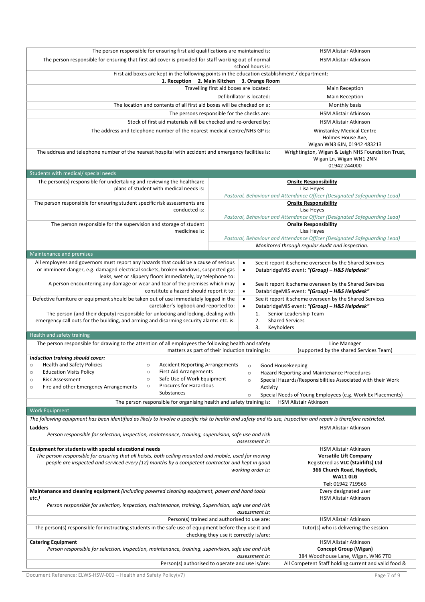|                                                                                                                                                                   | The person responsible for ensuring first aid qualifications are maintained is: |                                                                                                                              |  |  |
|-------------------------------------------------------------------------------------------------------------------------------------------------------------------|---------------------------------------------------------------------------------|------------------------------------------------------------------------------------------------------------------------------|--|--|
| The person responsible for ensuring that first aid cover is provided for staff working out of normal                                                              | <b>HSM Alistair Atkinson</b>                                                    |                                                                                                                              |  |  |
|                                                                                                                                                                   |                                                                                 |                                                                                                                              |  |  |
| First aid boxes are kept in the following points in the education establishment / department:<br>1. Reception 2. Main Kitchen 3. Orange Room                      |                                                                                 |                                                                                                                              |  |  |
|                                                                                                                                                                   | Travelling first aid boxes are located:                                         | <b>Main Reception</b>                                                                                                        |  |  |
|                                                                                                                                                                   | <b>Main Reception</b>                                                           |                                                                                                                              |  |  |
| The location and contents of all first aid boxes will be checked on a:                                                                                            | Monthly basis                                                                   |                                                                                                                              |  |  |
| The persons responsible for the checks are:                                                                                                                       | <b>HSM Alistair Atkinson</b>                                                    |                                                                                                                              |  |  |
| Stock of first aid materials will be checked and re-ordered by:                                                                                                   |                                                                                 | <b>HSM Alistair Atkinson</b>                                                                                                 |  |  |
| The address and telephone number of the nearest medical centre/NHS GP is:                                                                                         |                                                                                 | <b>Winstanley Medical Centre</b>                                                                                             |  |  |
|                                                                                                                                                                   | Holmes House Ave,<br>Wigan WN3 6JN, 01942 483213                                |                                                                                                                              |  |  |
| The address and telephone number of the nearest hospital with accident and emergency facilities is:                                                               | Wrightington, Wigan & Leigh NHS Foundation Trust,<br>Wigan Ln, Wigan WN1 2NN    |                                                                                                                              |  |  |
|                                                                                                                                                                   |                                                                                 | 01942 244000                                                                                                                 |  |  |
| Students with medical/ special needs                                                                                                                              |                                                                                 |                                                                                                                              |  |  |
| The person(s) responsible for undertaking and reviewing the healthcare                                                                                            |                                                                                 | <b>Onsite Responsibility</b>                                                                                                 |  |  |
| plans of student with medical needs is:                                                                                                                           |                                                                                 | Lisa Heyes                                                                                                                   |  |  |
|                                                                                                                                                                   |                                                                                 | Pastoral, Behaviour and Attendance Officer (Designated Safeguarding Lead)                                                    |  |  |
| The person responsible for ensuring student specific risk assessments are<br>conducted is:                                                                        |                                                                                 | <b>Onsite Responsibility</b><br>Lisa Heyes                                                                                   |  |  |
|                                                                                                                                                                   |                                                                                 | Pastoral, Behaviour and Attendance Officer (Designated Safeguarding Lead)                                                    |  |  |
| The person responsible for the supervision and storage of student                                                                                                 |                                                                                 | <b>Onsite Responsibility</b>                                                                                                 |  |  |
| medicines is:                                                                                                                                                     |                                                                                 | Lisa Heyes                                                                                                                   |  |  |
|                                                                                                                                                                   |                                                                                 | Pastoral, Behaviour and Attendance Officer (Designated Safeguarding Lead)<br>Monitored through regular Audit and inspection. |  |  |
| Maintenance and premises                                                                                                                                          |                                                                                 |                                                                                                                              |  |  |
| All employees and governors must report any hazards that could be a cause of serious                                                                              | $\bullet$                                                                       | See it report it scheme overseen by the Shared Services                                                                      |  |  |
| or imminent danger, e.g. damaged electrical sockets, broken windows, suspected gas<br>leaks, wet or slippery floors immediately, by telephone to:                 | $\bullet$                                                                       | DatabridgeMIS event: "(Group) - H&S Helpdesk"                                                                                |  |  |
| A person encountering any damage or wear and tear of the premises which may                                                                                       | $\bullet$                                                                       | See it report it scheme overseen by the Shared Services                                                                      |  |  |
| constitute a hazard should report it to:                                                                                                                          | $\bullet$                                                                       | DatabridgeMIS event: "(Group) - H&S Helpdesk"                                                                                |  |  |
| Defective furniture or equipment should be taken out of use immediately logged in the<br>caretaker's logbook and reported to:                                     | $\bullet$<br>$\bullet$                                                          | See it report it scheme overseen by the Shared Services<br>DatabridgeMIS event: "(Group) - H&S Helpdesk"                     |  |  |
| The person (and their deputy) responsible for unlocking and locking, dealing with                                                                                 | 1.                                                                              | Senior Leadership Team                                                                                                       |  |  |
| emergency call outs for the building, and arming and disarming security alarms etc. is:                                                                           | 2.                                                                              | <b>Shared Services</b>                                                                                                       |  |  |
|                                                                                                                                                                   | 3.                                                                              | Keyholders                                                                                                                   |  |  |
| Health and safety training<br>The person responsible for drawing to the attention of all employees the following health and safety                                |                                                                                 | Line Manager                                                                                                                 |  |  |
|                                                                                                                                                                   |                                                                                 |                                                                                                                              |  |  |
|                                                                                                                                                                   |                                                                                 |                                                                                                                              |  |  |
| Induction training should cover:                                                                                                                                  | matters as part of their induction training is:                                 | (supported by the shared Services Team)                                                                                      |  |  |
| <b>Health and Safety Policies</b>                                                                                                                                 | Accident Reporting Arrangements o Good Housekeeping                             |                                                                                                                              |  |  |
| <b>Education Visits Policy</b><br><b>First Aid Arrangements</b><br>$\circ$<br>$\circ$                                                                             | $\circ$                                                                         | Hazard Reporting and Maintenance Procedures                                                                                  |  |  |
| Safe Use of Work Equipment<br>$\circ$<br><b>Risk Assessment</b><br>$\circ$                                                                                        | $\circ$                                                                         | Special Hazards/Responsibilities Associated with their Work                                                                  |  |  |
| Procures for Hazardous<br>$\circ$<br>Fire and other Emergency Arrangements<br>$\circ$                                                                             | Activity                                                                        |                                                                                                                              |  |  |
| Substances                                                                                                                                                        | $\circ$                                                                         | Special Needs of Young Employees (e.g. Work Ex Placements)                                                                   |  |  |
| The person responsible for organising health and safety training is:                                                                                              |                                                                                 | HSM Alistair Atkinson                                                                                                        |  |  |
| <b>Work Equipment</b>                                                                                                                                             |                                                                                 |                                                                                                                              |  |  |
| The following equipment has been identified as likely to involve a specific risk to health and safety and its use, inspection and repair is therefore restricted. |                                                                                 |                                                                                                                              |  |  |
| Ladders<br>Person responsible for selection, inspection, maintenance, training, supervision, safe use and risk                                                    |                                                                                 | HSM Alistair Atkinson                                                                                                        |  |  |
|                                                                                                                                                                   | assessment is:                                                                  |                                                                                                                              |  |  |
| Equipment for students with special educational needs<br>The person responsible for ensuring that all hoists, both ceiling mounted and mobile, used for moving    |                                                                                 | HSM Alistair Atkinson                                                                                                        |  |  |
| people are inspected and serviced every (12) months by a competent contractor and kept in good                                                                    |                                                                                 | <b>Versatile Lift Company</b><br>Registered as VLC (Stairlifts) Ltd                                                          |  |  |
|                                                                                                                                                                   | working order is:                                                               | 366 Church Road, Haydock,                                                                                                    |  |  |
|                                                                                                                                                                   |                                                                                 | <b>WA11 0LG</b>                                                                                                              |  |  |
|                                                                                                                                                                   |                                                                                 | Tel: 01942 719565                                                                                                            |  |  |
| Maintenance and cleaning equipment (including powered cleaning equipment, power and hand tools                                                                    |                                                                                 | Every designated user                                                                                                        |  |  |
| etc.)                                                                                                                                                             |                                                                                 | HSM Alistair Atkinson                                                                                                        |  |  |
| Person responsible for selection, inspection, maintenance, training, Supervision, safe use and risk                                                               | assessment is:                                                                  |                                                                                                                              |  |  |
|                                                                                                                                                                   | Person(s) trained and authorised to use are:                                    | HSM Alistair Atkinson                                                                                                        |  |  |
| The person(s) responsible for instructing students in the safe use of equipment before they use it and                                                            |                                                                                 | Tutor(s) who is delivering the session                                                                                       |  |  |
|                                                                                                                                                                   | checking they use it correctly is/are:                                          |                                                                                                                              |  |  |
| <b>Catering Equipment</b>                                                                                                                                         |                                                                                 | <b>HSM Alistair Atkinson</b>                                                                                                 |  |  |
| Person responsible for selection, inspection, maintenance, training, supervision, safe use and risk                                                               |                                                                                 | Concept Group (Wigan)                                                                                                        |  |  |
|                                                                                                                                                                   | assessment is:<br>Person(s) authorised to operate and use is/are:               | 384 Woodhouse Lane, Wigan, WN6 7TD<br>All Competent Staff holding current and valid food &                                   |  |  |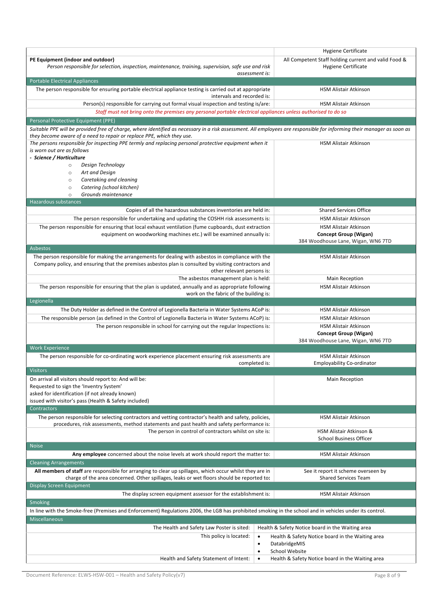|                                                                                                                                                                                                                                                 | <b>Hygiene Certificate</b>                                                                                            |
|-------------------------------------------------------------------------------------------------------------------------------------------------------------------------------------------------------------------------------------------------|-----------------------------------------------------------------------------------------------------------------------|
| PE Equipment (indoor and outdoor)<br>Person responsible for selection, inspection, maintenance, training, supervision, safe use and risk<br>assessment is:                                                                                      | All Competent Staff holding current and valid Food &<br>Hygiene Certificate                                           |
| <b>Portable Electrical Appliances</b>                                                                                                                                                                                                           |                                                                                                                       |
| The person responsible for ensuring portable electrical appliance testing is carried out at appropriate<br>intervals and recorded is:                                                                                                           | <b>HSM Alistair Atkinson</b>                                                                                          |
| Person(s) responsible for carrying out formal visual inspection and testing is/are:                                                                                                                                                             | <b>HSM Alistair Atkinson</b>                                                                                          |
| Staff must not bring onto the premises any personal portable electrical appliances unless authorised to do so                                                                                                                                   |                                                                                                                       |
| Personal Protective Equipment (PPE)                                                                                                                                                                                                             |                                                                                                                       |
| Suitable PPE will be provided free of charge, where identified as necessary in a risk assessment. All employees are responsible for informing their manager as soon as<br>they become aware of a need to repair or replace PPE, which they use. |                                                                                                                       |
| The persons responsible for inspecting PPE termly and replacing personal protective equipment when it<br>is worn out are as follows<br>- Science / Horticulture                                                                                 | <b>HSM Alistair Atkinson</b>                                                                                          |
| Design Technology<br>$\circ$                                                                                                                                                                                                                    |                                                                                                                       |
| Art and Design<br>$\circ$                                                                                                                                                                                                                       |                                                                                                                       |
| Caretaking and cleaning<br>$\circ$                                                                                                                                                                                                              |                                                                                                                       |
| Catering (school kitchen)<br>$\circ$                                                                                                                                                                                                            |                                                                                                                       |
| Grounds maintenance<br>$\circ$                                                                                                                                                                                                                  |                                                                                                                       |
| Hazardous substances                                                                                                                                                                                                                            |                                                                                                                       |
| Copies of all the hazardous substances inventories are held in:                                                                                                                                                                                 | <b>Shared Services Office</b>                                                                                         |
| The person responsible for undertaking and updating the COSHH risk assessments is:                                                                                                                                                              | <b>HSM Alistair Atkinson</b>                                                                                          |
| The person responsible for ensuring that local exhaust ventilation (fume cupboards, dust extraction<br>equipment on woodworking machines etc.) will be examined annually is:                                                                    | <b>HSM Alistair Atkinson</b><br><b>Concept Group (Wigan)</b><br>384 Woodhouse Lane, Wigan, WN6 7TD                    |
| <b>Asbestos</b>                                                                                                                                                                                                                                 |                                                                                                                       |
| The person responsible for making the arrangements for dealing with asbestos in compliance with the<br>Company policy, and ensuring that the premises asbestos plan is consulted by visiting contractors and<br>other relevant persons is:      | <b>HSM Alistair Atkinson</b>                                                                                          |
| The asbestos management plan is held:                                                                                                                                                                                                           | Main Reception                                                                                                        |
| The person responsible for ensuring that the plan is updated, annually and as appropriate following<br>work on the fabric of the building is:                                                                                                   | HSM Alistair Atkinson                                                                                                 |
| Legionella                                                                                                                                                                                                                                      |                                                                                                                       |
| The Duty Holder as defined in the Control of Legionella Bacteria in Water Systems ACoP is:                                                                                                                                                      | <b>HSM Alistair Atkinson</b>                                                                                          |
| The responsible person (as defined in the Control of Legionella Bacteria in Water Systems ACoP) is:                                                                                                                                             | HSM Alistair Atkinson                                                                                                 |
| The person responsible in school for carrying out the regular Inspections is:                                                                                                                                                                   | HSM Alistair Atkinson<br>Concept Group (Wigan)<br>384 Woodhouse Lane, Wigan, WN6 7TD                                  |
| <b>Work Experience</b>                                                                                                                                                                                                                          |                                                                                                                       |
| The person responsible for co-ordinating work experience placement ensuring risk assessments are<br>completed is:                                                                                                                               | HSM Alistair Atkinson<br><b>Employability Co-ordinator</b>                                                            |
| <b>Visitors</b>                                                                                                                                                                                                                                 |                                                                                                                       |
| On arrival all visitors should report to: And will be:<br>Requested to sign the 'Inventry System'<br>asked for identification (if not already known)                                                                                            | Main Reception                                                                                                        |
| issued with visitor's pass (Health & Safety included)                                                                                                                                                                                           |                                                                                                                       |
| <b>Contractors</b>                                                                                                                                                                                                                              |                                                                                                                       |
| The person responsible for selecting contractors and vetting contractor's health and safety, policies,<br>procedures, risk assessments, method statements and past health and safety performance is:                                            | <b>HSM Alistair Atkinson</b>                                                                                          |
| The person in control of contractors whilst on site is:                                                                                                                                                                                         | HSM Alistair Atkinson &<br><b>School Business Officer</b>                                                             |
| <b>Noise</b>                                                                                                                                                                                                                                    |                                                                                                                       |
| Any employee concerned about the noise levels at work should report the matter to:                                                                                                                                                              | HSM Alistair Atkinson                                                                                                 |
| <b>Cleaning Arrangements</b>                                                                                                                                                                                                                    |                                                                                                                       |
| All members of staff are responsible for arranging to clear up spillages, which occur whilst they are in<br>charge of the area concerned. Other spillages, leaks or wet floors should be reported to:                                           | See it report it scheme overseen by<br><b>Shared Services Team</b>                                                    |
| Display Screen Equipment                                                                                                                                                                                                                        |                                                                                                                       |
| The display screen equipment assessor for the establishment is:                                                                                                                                                                                 | HSM Alistair Atkinson                                                                                                 |
| <b>Smoking</b>                                                                                                                                                                                                                                  |                                                                                                                       |
| In line with the Smoke-free (Premises and Enforcement) Regulations 2006, the LGB has prohibited smoking in the school and in vehicles under its control.<br><b>Miscellaneous</b>                                                                |                                                                                                                       |
|                                                                                                                                                                                                                                                 |                                                                                                                       |
| The Health and Safety Law Poster is sited:<br>This policy is located:<br>$\bullet$<br>٠                                                                                                                                                         | Health & Safety Notice board in the Waiting area<br>Health & Safety Notice board in the Waiting area<br>DatabridgeMIS |
| $\bullet$                                                                                                                                                                                                                                       | School Website                                                                                                        |
| Health and Safety Statement of Intent:<br>$\bullet$                                                                                                                                                                                             | Health & Safety Notice board in the Waiting area                                                                      |